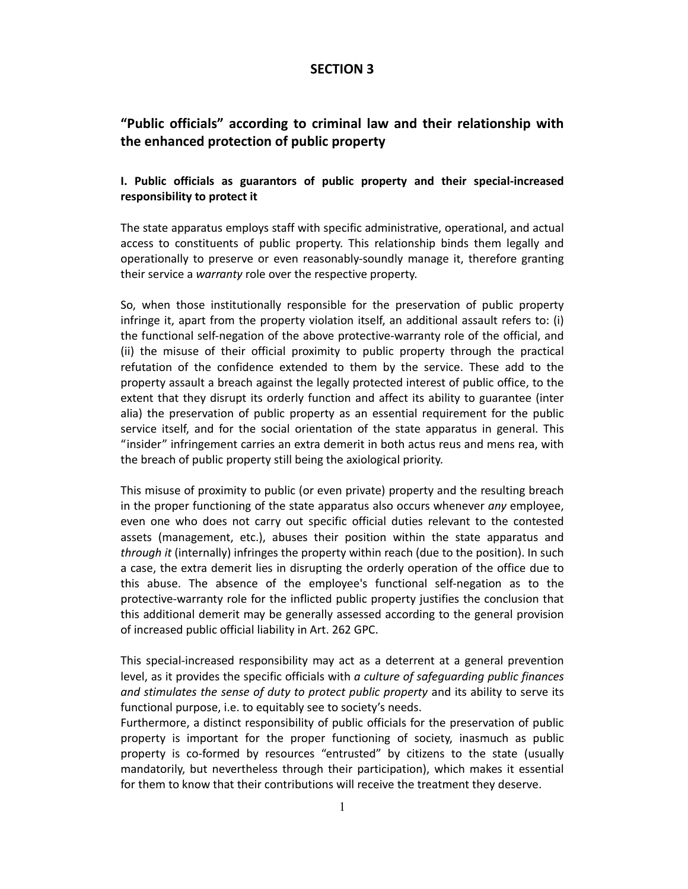# **SECTION 3**

# **"Public officials" according to criminal law and their relationship with the enhanced protection of public property**

# **I. Public officials as guarantors of public property and their special‐increased responsibility to protect it**

The state apparatus employs staff with specific administrative, operational, and actual access to constituents of public property. This relationship binds them legally and operationally to preserve or even reasonably‐soundly manage it, therefore granting their service a *warranty* role over the respective property.

So, when those institutionally responsible for the preservation of public property infringe it, apart from the property violation itself, an additional assault refers to: (i) the functional self‐negation of the above protective‐warranty role of the official, and (ii) the misuse of their official proximity to public property through the practical refutation of the confidence extended to them by the service. These add to the property assault a breach against the legally protected interest of public office, to the extent that they disrupt its orderly function and affect its ability to guarantee (inter alia) the preservation of public property as an essential requirement for the public service itself, and for the social orientation of the state apparatus in general. This "insider" infringement carries an extra demerit in both actus reus and mens rea, with the breach of public property still being the axiological priority.

This misuse of proximity to public (or even private) property and the resulting breach in the proper functioning of the state apparatus also occurs whenever *any* employee, even one who does not carry out specific official duties relevant to the contested assets (management, etc.), abuses their position within the state apparatus and *through it* (internally) infringes the property within reach (due to the position). In such a case, the extra demerit lies in disrupting the orderly operation of the office due to this abuse. The absence of the employee's functional self‐negation as to the protective‐warranty role for the inflicted public property justifies the conclusion that this additional demerit may be generally assessed according to the general provision of increased public official liability in Art. 262 GPC.

This special‐increased responsibility may act as a deterrent at a general prevention level, as it provides the specific officials with *a culture of safeguarding public finances and stimulates the sense of duty to protect public property* and its ability to serve its functional purpose, i.e. to equitably see to society's needs.

Furthermore, a distinct responsibility of public officials for the preservation of public property is important for the proper functioning of society, inasmuch as public property is co-formed by resources "entrusted" by citizens to the state (usually mandatorily, but nevertheless through their participation), which makes it essential for them to know that their contributions will receive the treatment they deserve.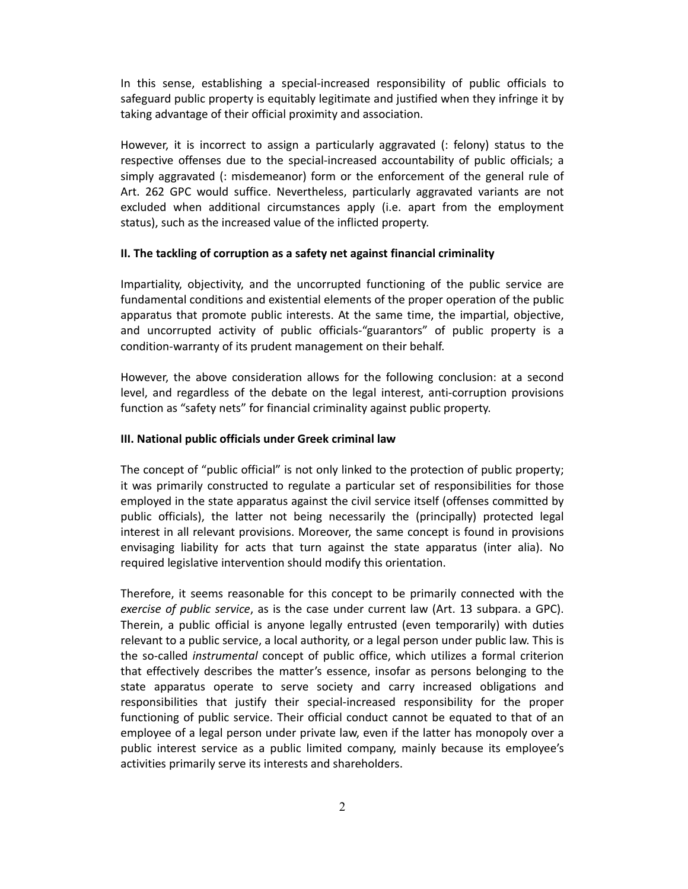In this sense, establishing a special‐increased responsibility of public officials to safeguard public property is equitably legitimate and justified when they infringe it by taking advantage of their official proximity and association.

However, it is incorrect to assign a particularly aggravated (: felony) status to the respective offenses due to the special-increased accountability of public officials; a simply aggravated (: misdemeanor) form or the enforcement of the general rule of Art. 262 GPC would suffice. Nevertheless, particularly aggravated variants are not excluded when additional circumstances apply (i.e. apart from the employment status), such as the increased value of the inflicted property.

#### **II. The tackling of corruption as a safety net against financial criminality**

Impartiality, objectivity, and the uncorrupted functioning of the public service are fundamental conditions and existential elements of the proper operation of the public apparatus that promote public interests. At the same time, the impartial, objective, and uncorrupted activity of public officials‐"guarantors" of public property is a condition‐warranty of its prudent management on their behalf.

However, the above consideration allows for the following conclusion: at a second level, and regardless of the debate on the legal interest, anti‐corruption provisions function as "safety nets" for financial criminality against public property.

#### **ΙΙΙ. National public officials under Greek criminal law**

The concept of "public official" is not only linked to the protection of public property; it was primarily constructed to regulate a particular set of responsibilities for those employed in the state apparatus against the civil service itself (offenses committed by public officials), the latter not being necessarily the (principally) protected legal interest in all relevant provisions. Moreover, the same concept is found in provisions envisaging liability for acts that turn against the state apparatus (inter alia). No required legislative intervention should modify this orientation.

Therefore, it seems reasonable for this concept to be primarily connected with the *exercise of public service*, as is the case under current law (Art. 13 subpara. a GPC). Therein, a public official is anyone legally entrusted (even temporarily) with duties relevant to a public service, a local authority, or a legal person under public law. This is the so‐called *instrumental* concept of public office, which utilizes a formal criterion that effectively describes the matter's essence, insofar as persons belonging to the state apparatus operate to serve society and carry increased obligations and responsibilities that justify their special-increased responsibility for the proper functioning of public service. Their official conduct cannot be equated to that of an employee of a legal person under private law, even if the latter has monopoly over a public interest service as a public limited company, mainly because its employee's activities primarily serve its interests and shareholders.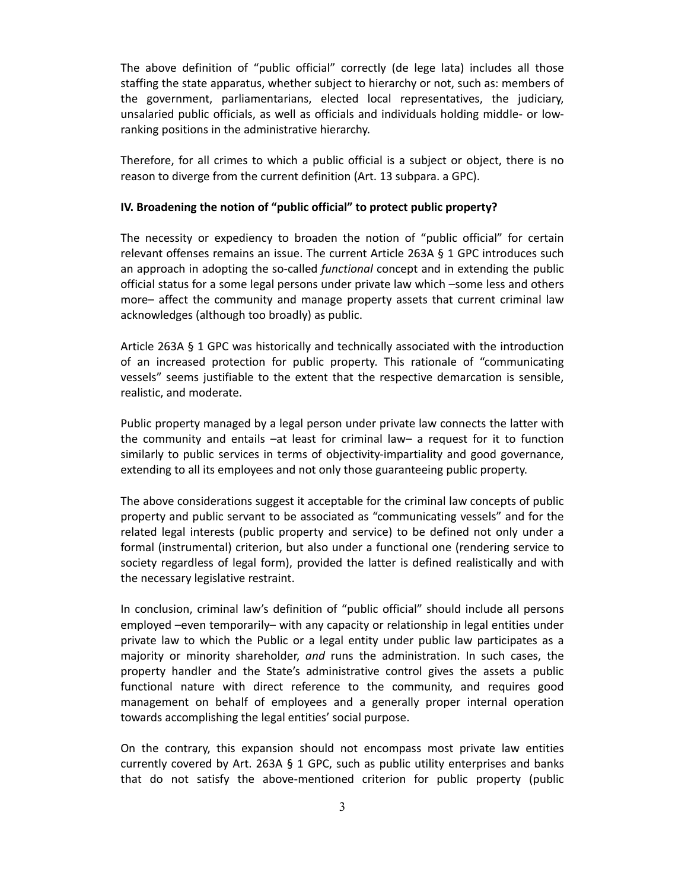The above definition of "public official" correctly (de lege lata) includes all those staffing the state apparatus, whether subject to hierarchy or not, such as: members of the government, parliamentarians, elected local representatives, the judiciary, unsalaried public officials, as well as officials and individuals holding middle‐ or low‐ ranking positions in the administrative hierarchy.

Therefore, for all crimes to which a public official is a subject or object, there is no reason to diverge from the current definition (Art. 13 subpara. a GPC).

### **IV. Broadening the notion of "public official" to protect public property?**

The necessity or expediency to broaden the notion of "public official" for certain relevant offenses remains an issue. The current Article 263A § 1 GPC introduces such an approach in adopting the so-called *functional* concept and in extending the public official status for a some legal persons under private law which –some less and others more– affect the community and manage property assets that current criminal law acknowledges (although too broadly) as public.

Article 263A § 1 GPC was historically and technically associated with the introduction of an increased protection for public property. This rationale of "communicating vessels" seems justifiable to the extent that the respective demarcation is sensible, realistic, and moderate.

Public property managed by a legal person under private law connects the latter with the community and entails –at least for criminal law– a request for it to function similarly to public services in terms of objectivity-impartiality and good governance, extending to all its employees and not only those guaranteeing public property.

The above considerations suggest it acceptable for the criminal law concepts of public property and public servant to be associated as "communicating vessels" and for the related legal interests (public property and service) to be defined not only under a formal (instrumental) criterion, but also under a functional one (rendering service to society regardless of legal form), provided the latter is defined realistically and with the necessary legislative restraint.

In conclusion, criminal law's definition of "public official" should include all persons employed –even temporarily– with any capacity or relationship in legal entities under private law to which the Public or a legal entity under public law participates as a majority or minority shareholder, *and* runs the administration. In such cases, the property handler and the State's administrative control gives the assets a public functional nature with direct reference to the community, and requires good management on behalf of employees and a generally proper internal operation towards accomplishing the legal entities' social purpose.

On the contrary, this expansion should not encompass most private law entities currently covered by Art. 263A § 1 GPC, such as public utility enterprises and banks that do not satisfy the above‐mentioned criterion for public property (public